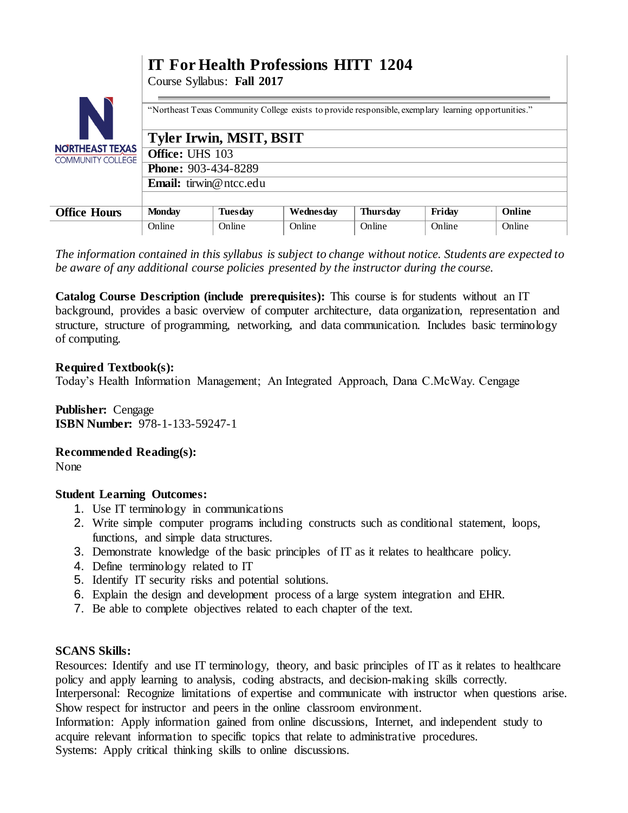# **IT For Health Professions HITT 1204** Course Syllabus: **Fall 2017**

| <b>NORTHEAST TEXAS</b><br><b>COMMUNITY COLLEGE</b> | "Northeast Texas Community College exists to provide responsible, exemplary learning opportunities."<br><b>Tyler Irwin, MSIT, BSIT</b><br>Office: UHS 103<br><b>Phone: 903-434-8289</b> |                |           |                 |        |        |  |
|----------------------------------------------------|-----------------------------------------------------------------------------------------------------------------------------------------------------------------------------------------|----------------|-----------|-----------------|--------|--------|--|
|                                                    | <b>Email:</b> tirwin@ ntcc.edu                                                                                                                                                          |                |           |                 |        |        |  |
|                                                    |                                                                                                                                                                                         |                |           |                 |        |        |  |
| <b>Office Hours</b>                                | <b>Monday</b>                                                                                                                                                                           | <b>Tuesday</b> | Wednesday | <b>Thursday</b> | Friday | Online |  |
|                                                    | Online                                                                                                                                                                                  | Online         | Online    | Online          | Online | Online |  |

*The information contained in this syllabus is subject to change without notice. Students are expected to be aware of any additional course policies presented by the instructor during the course.*

**Catalog Course Description (include prerequisites):** This course is for students without an IT background, provides a basic overview of computer architecture, data organization, representation and structure, structure of programming, networking, and data communication. Includes basic terminology of computing.

# **Required Textbook(s):**

Today's Health Information Management; An Integrated Approach, Dana C.McWay. Cengage

**Publisher:** Cengage **ISBN Number:** 978-1-133-59247-1

#### **Recommended Reading(s):**

None

# **Student Learning Outcomes:**

- 1. Use IT terminology in communications
- 2. Write simple computer programs including constructs such as conditional statement, loops, functions, and simple data structures.
- 3. Demonstrate knowledge of the basic principles of IT as it relates to healthcare policy.
- 4. Define terminology related to IT
- 5. Identify IT security risks and potential solutions.
- 6. Explain the design and development process of a large system integration and EHR.
- 7. Be able to complete objectives related to each chapter of the text.

### **SCANS Skills:**

Resources: Identify and use IT terminology, theory, and basic principles of IT as it relates to healthcare policy and apply learning to analysis, coding abstracts, and decision-making skills correctly.

Interpersonal: Recognize limitations of expertise and communicate with instructor when questions arise. Show respect for instructor and peers in the online classroom environment.

Information: Apply information gained from online discussions, Internet, and independent study to acquire relevant information to specific topics that relate to administrative procedures.

Systems: Apply critical thinking skills to online discussions.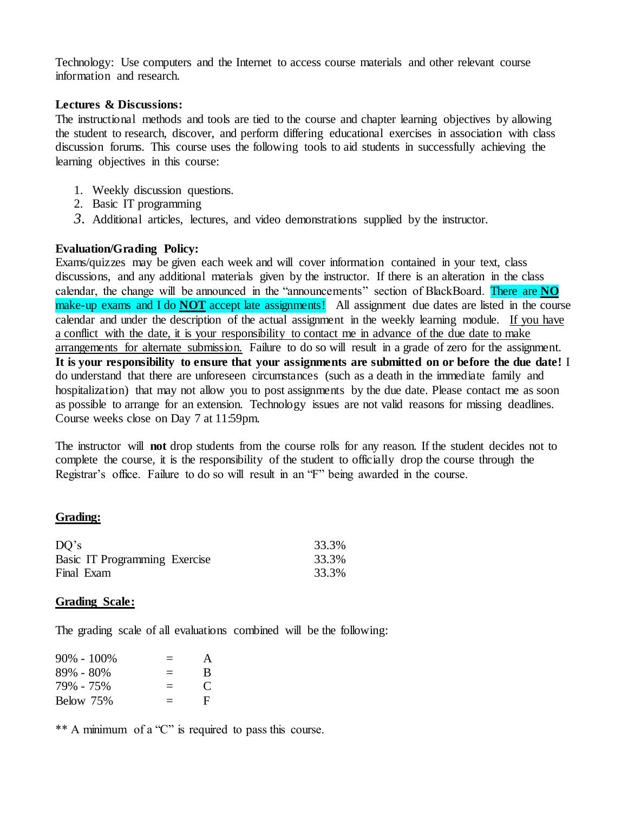Technology: Use computers and the Internet to access course materials and other relevant course information and research.

### **Lectures & Discussions:**

The instructional methods and tools are tied to the course and chapter learning objectives by allowing the student to research, discover, and perform differing educational exercises in association with class discussion forums. This course uses the following tools to aid students in successfully achieving the learning objectives in this course:

- 1. Weekly discussion questions.
- 2. Basic IT programming
- *3.* Additional articles, lectures, and video demonstrations supplied by the instructor.

### **Evaluation/Grading Policy:**

Exams/quizzes may be given each week and will cover information contained in your text, class discussions, and any additional materials given by the instructor. If there is an alteration in the class calendar, the change will be announced in the "announcements" section of BlackBoard. There are **NO** make-up exams and I do **NOT** accept late assignments! All assignment due dates are listed in the course calendar and under the description of the actual assignment in the weekly learning module. If you have a conflict with the date, it is your responsibility to contact me in advance of the due date to make arrangements for alternate submission. Failure to do so will result in a grade of zero for the assignment. **It is your responsibility to ensure that your assignments are submitted on or before the due date!** I do understand that there are unforeseen circumstances (such as a death in the immediate family and hospitalization) that may not allow you to post assignments by the due date. Please contact me as soon as possible to arrange for an extension. Technology issues are not valid reasons for missing deadlines. Course weeks close on Day 7 at 11:59pm.

The instructor will **not** drop students from the course rolls for any reason. If the student decides not to complete the course, it is the responsibility of the student to officially drop the course through the Registrar's office. Failure to do so will result in an "F" being awarded in the course.

# **Grading:**

| DO's                          | 33.3% |
|-------------------------------|-------|
| Basic IT Programming Exercise | 33.3% |
| Final Exam                    | 33.3% |

#### **Grading Scale:**

The grading scale of all evaluations combined will be the following:

| $90\% - 100\%$ | $\equiv$ | A |
|----------------|----------|---|
| 89% - 80%      | $\equiv$ | B |
| 79% - 75%      | $\equiv$ | € |
| Below 75%      | $\equiv$ | F |

\*\* A minimum of a "C" is required to pass this course.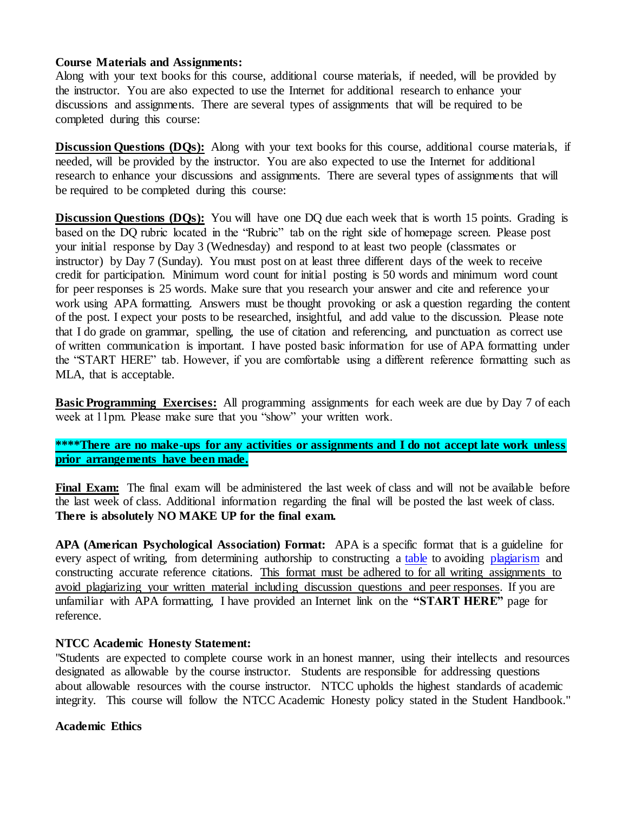# **Course Materials and Assignments:**

Along with your text books for this course, additional course materials, if needed, will be provided by the instructor. You are also expected to use the Internet for additional research to enhance your discussions and assignments. There are several types of assignments that will be required to be completed during this course:

**Discussion Questions (DQs):** Along with your text books for this course, additional course materials, if needed, will be provided by the instructor. You are also expected to use the Internet for additional research to enhance your discussions and assignments. There are several types of assignments that will be required to be completed during this course:

**Discussion Questions (DQs):** You will have one DQ due each week that is worth 15 points. Grading is based on the DQ rubric located in the "Rubric" tab on the right side of homepage screen. Please post your initial response by Day 3 (Wednesday) and respond to at least two people (classmates or instructor) by Day 7 (Sunday). You must post on at least three different days of the week to receive credit for participation. Minimum word count for initial posting is 50 words and minimum word count for peer responses is 25 words. Make sure that you research your answer and cite and reference your work using APA formatting. Answers must be thought provoking or ask a question regarding the content of the post. I expect your posts to be researched, insightful, and add value to the discussion. Please note that I do grade on grammar, spelling, the use of citation and referencing, and punctuation as correct use of written communication is important. I have posted basic information for use of APA formatting under the "START HERE" tab. However, if you are comfortable using a different reference formatting such as MLA, that is acceptable.

**Basic Programming Exercises:** All programming assignments for each week are due by Day 7 of each week at 11pm. Please make sure that you "show" your written work.

# **\*\*\*\*There are no make-ups for any activities or assignments and I do not accept late work unless prior arrangements have been made.**

**Final Exam:** The final exam will be administered the last week of class and will not be available before the last week of class. Additional information regarding the final will be posted the last week of class. **There is absolutely NO MAKE UP for the final exam.**

**APA (American Psychological Association) Format:** APA is a specific format that is a guideline for every aspect of writing, from determining authorship to constructing a [table](http://en.wikipedia.org/wiki/Table_(information)) to avoiding [plagiarism](http://en.wikipedia.org/wiki/Plagiarism) and constructing accurate reference citations. This format must be adhered to for all writing assignments to avoid plagiarizing your written material including discussion questions and peer responses. If you are unfamiliar with APA formatting, I have provided an Internet link on the **"START HERE"** page for reference.

# **NTCC Academic Honesty Statement:**

"Students are expected to complete course work in an honest manner, using their intellects and resources designated as allowable by the course instructor. Students are responsible for addressing questions about allowable resources with the course instructor. NTCC upholds the highest standards of academic integrity. This course will follow the NTCC Academic Honesty policy stated in the Student Handbook."

# **Academic Ethics**